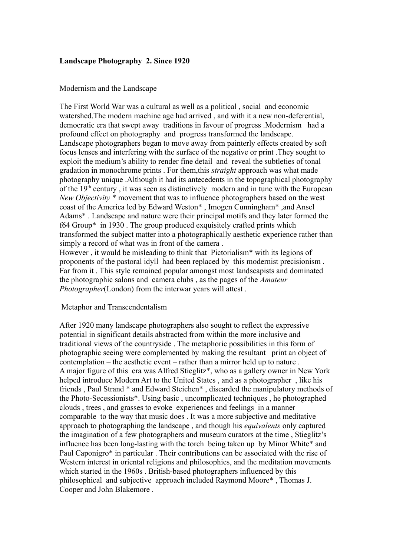# **Landscape Photography 2. Since 1920**

### Modernism and the Landscape

The First World War was a cultural as well as a political , social and economic watershed.The modern machine age had arrived , and with it a new non-deferential, democratic era that swept away traditions in favour of progress .Modernism had a profound effect on photography and progress transformed the landscape. Landscape photographers began to move away from painterly effects created by soft focus lenses and interfering with the surface of the negative or print .They sought to exploit the medium's ability to render fine detail and reveal the subtleties of tonal gradation in monochrome prints . For them,this *straight* approach was what made photography unique .Although it had its antecedents in the topographical photography of the  $19<sup>th</sup>$  century, it was seen as distinctively modern and in tune with the European *New Objectivity* \* movement that was to influence photographers based on the west coast of the America led by Edward Weston\* , Imogen Cunningham\* ,and Ansel Adams\* . Landscape and nature were their principal motifs and they later formed the f64 Group\* in 1930 . The group produced exquisitely crafted prints which transformed the subject matter into a photographically aesthetic experience rather than simply a record of what was in front of the camera . However , it would be misleading to think that Pictorialism\* with its legions of proponents of the pastoral idyll had been replaced by this modernist precisionism .

Far from it . This style remained popular amongst most landscapists and dominated the photographic salons and camera clubs , as the pages of the *Amateur Photographer*(London) from the interwar years will attest .

#### Metaphor and Transcendentalism

After 1920 many landscape photographers also sought to reflect the expressive potential in significant details abstracted from within the more inclusive and traditional views of the countryside . The metaphoric possibilities in this form of photographic seeing were complemented by making the resultant print an object of contemplation – the aesthetic event – rather than a mirror held up to nature . A major figure of this era was Alfred Stieglitz\*, who as a gallery owner in New York helped introduce Modern Art to the United States , and as a photographer , like his friends , Paul Strand \* and Edward Steichen\* , discarded the manipulatory methods of the Photo-Secessionists\*. Using basic , uncomplicated techniques , he photographed clouds , trees , and grasses to evoke experiences and feelings in a manner comparable to the way that music does . It was a more subjective and meditative approach to photographing the landscape , and though his *equivalents* only captured the imagination of a few photographers and museum curators at the time , Stieglitz's influence has been long-lasting with the torch being taken up by Minor White\* and Paul Caponigro\* in particular . Their contributions can be associated with the rise of Western interest in oriental religions and philosophies, and the meditation movements which started in the 1960s . British-based photographers influenced by this philosophical and subjective approach included Raymond Moore\* , Thomas J. Cooper and John Blakemore .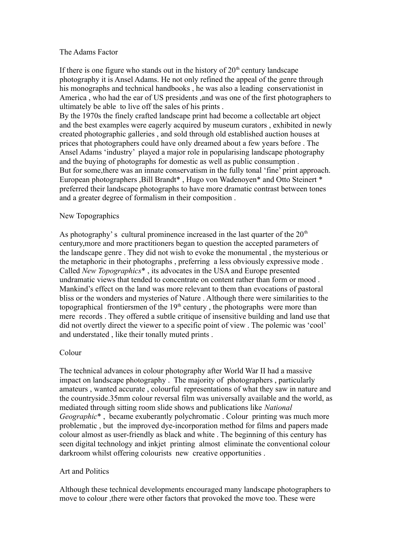### The Adams Factor

If there is one figure who stands out in the history of  $20<sup>th</sup>$  century landscape photography it is Ansel Adams. He not only refined the appeal of the genre through his monographs and technical handbooks , he was also a leading conservationist in America , who had the ear of US presidents ,and was one of the first photographers to ultimately be able to live off the sales of his prints .

By the 1970s the finely crafted landscape print had become a collectable art object and the best examples were eagerly acquired by museum curators , exhibited in newly created photographic galleries , and sold through old established auction houses at prices that photographers could have only dreamed about a few years before . The Ansel Adams 'industry' played a major role in popularising landscape photography and the buying of photographs for domestic as well as public consumption . But for some,there was an innate conservatism in the fully tonal 'fine' print approach. European photographers ,Bill Brandt\* , Hugo von Wadenoyen\* and Otto Steinert \* preferred their landscape photographs to have more dramatic contrast between tones and a greater degree of formalism in their composition .

# New Topographics

As photography's cultural prominence increased in the last quarter of the  $20<sup>th</sup>$ century,more and more practitioners began to question the accepted parameters of the landscape genre . They did not wish to evoke the monumental , the mysterious or the metaphoric in their photographs , preferring a less obviously expressive mode . Called *New Topographics*\* , its advocates in the USA and Europe presented undramatic views that tended to concentrate on content rather than form or mood . Mankind's effect on the land was more relevant to them than evocations of pastoral bliss or the wonders and mysteries of Nature . Although there were similarities to the topographical frontiersmen of the  $19<sup>th</sup>$  century, the photographs were more than mere records . They offered a subtle critique of insensitive building and land use that did not overtly direct the viewer to a specific point of view . The polemic was 'cool' and understated , like their tonally muted prints .

# Colour

The technical advances in colour photography after World War II had a massive impact on landscape photography . The majority of photographers , particularly amateurs , wanted accurate , colourful representations of what they saw in nature and the countryside.35mm colour reversal film was universally available and the world, as mediated through sitting room slide shows and publications like *National Geographic*\* , became exuberantly polychromatic . Colour printing was much more problematic , but the improved dye-incorporation method for films and papers made colour almost as user-friendly as black and white . The beginning of this century has seen digital technology and inkjet printing almost eliminate the conventional colour darkroom whilst offering colourists new creative opportunities .

# Art and Politics

Although these technical developments encouraged many landscape photographers to move to colour ,there were other factors that provoked the move too. These were